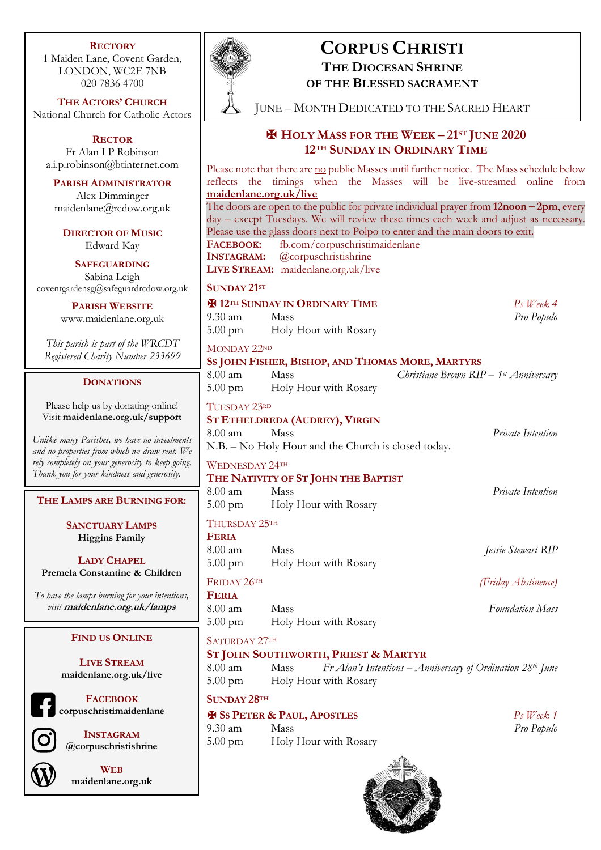### **RECTORY**

1 Maiden Lane, Covent Garden, LONDON, WC2E 7NB 020 7836 4700

**THE ACTORS' CHURCH** National Church for Catholic Actors

**RECTOR** Fr Alan I P Robinson a.i.p.robinson@btinternet.com

**PARISH ADMINISTRATOR** Alex Dimminger maidenlane@rcdow.org.uk

**DIRECTOR OF MUSIC** Edward Kay

**SAFEGUARDING** Sabina Leigh coventgardensg@safeguardrcdow.org.uk

> **PARISH WEBSITE** www.maidenlane.org.uk

*This parish is part of the WRCDT Registered Charity Number 233699*

## **DONATIONS**

Please help us by donating online! Visit **maidenlane.org.uk/support**

*Unlike many Parishes, we have no investmen and no properties from which we draw rent. We rely completely on your generosity to keep going. Thank you for your kindness and generosity.* 

**THE LAMPS ARE BURNING FOR:**

**SANCTUARY LAMPS Higgins Family**

**LADY CHAPEL Premela Constantine & Children**

*To have the lamps burning for your intentions, visit* **maidenlane.org.uk/lamps**

### **FIND US ONLINE**

**LIVE STREAM maidenlane.org.uk/live**

**FACEBOOK corpuschristimaidenlane**





**WEB maidenlane.org.uk**



# **CORPUS CHRISTI THE DIOCESAN SHRINE**

**OF THE BLESSED SACRAMENT**

JUNE – MONTH DEDICATED TO THE SACRED HEART

## ✠ **HOLY MASS FOR THE WEEK – 21ST JUNE 2020 12TH SUNDAY IN ORDINARY TIME**

|                                                                 |                                                                                                                                                                                                                                                                                                                                                                                                               | Please note that there are no public Masses until further notice. The Mass schedule below |  |  |  |                                        |                           |  |
|-----------------------------------------------------------------|---------------------------------------------------------------------------------------------------------------------------------------------------------------------------------------------------------------------------------------------------------------------------------------------------------------------------------------------------------------------------------------------------------------|-------------------------------------------------------------------------------------------|--|--|--|----------------------------------------|---------------------------|--|
|                                                                 | reflects<br>maidenlane.org.uk/live                                                                                                                                                                                                                                                                                                                                                                            | the timings when the Masses will be live-streamed online from                             |  |  |  |                                        |                           |  |
|                                                                 | The doors are open to the public for private individual prayer from $12noon - 2pm$ , every<br>day - except Tuesdays. We will review these times each week and adjust as necessary.<br>Please use the glass doors next to Polpo to enter and the main doors to exit.<br>fb.com/corpuschristimaidenlane<br><b>FACEBOOK:</b><br>@corpuschristishrine<br><b>INSTAGRAM:</b><br>LIVE STREAM: maidenlane.org.uk/live |                                                                                           |  |  |  |                                        |                           |  |
| ζ                                                               | <b>SUNDAY 21ST</b>                                                                                                                                                                                                                                                                                                                                                                                            |                                                                                           |  |  |  |                                        |                           |  |
|                                                                 | $9.30 \text{ am}$<br>$5.00 \text{ pm}$                                                                                                                                                                                                                                                                                                                                                                        | <b>H</b> 12TH SUNDAY IN ORDINARY TIME<br><b>Mass</b><br>Holy Hour with Rosary             |  |  |  |                                        | $Ps$ Week 4<br>Pro Populo |  |
| MONDAY 22ND<br>SS JOHN FISHER, BISHOP, AND THOMAS MORE, MARTYRS |                                                                                                                                                                                                                                                                                                                                                                                                               |                                                                                           |  |  |  |                                        |                           |  |
|                                                                 | 8.00 am<br>$5.00$ pm                                                                                                                                                                                                                                                                                                                                                                                          | Mass<br>Holy Hour with Rosary                                                             |  |  |  | Christiane Brown RIP - 1st Anniversary |                           |  |
| ts<br>$\mathbb{Z}_{\ell}$                                       | TUESDAY 23RD<br>ST ETHELDREDA (AUDREY), VIRGIN<br>Mass<br>Private Intention<br>$8.00$ am<br>N.B. - No Holy Hour and the Church is closed today.                                                                                                                                                                                                                                                               |                                                                                           |  |  |  |                                        |                           |  |
| g.                                                              | <b>WEDNESDAY 24TH</b><br>THE NATIVITY OF ST JOHN THE BAPTIST<br>8.00 am<br>Private Intention<br>Mass                                                                                                                                                                                                                                                                                                          |                                                                                           |  |  |  |                                        |                           |  |
|                                                                 | $5.00 \text{ pm}$                                                                                                                                                                                                                                                                                                                                                                                             | Holy Hour with Rosary                                                                     |  |  |  |                                        |                           |  |
|                                                                 | THURSDAY 25TH<br><b>FERIA</b><br>8.00 am<br>$5.00$ pm                                                                                                                                                                                                                                                                                                                                                         | Mass<br>Holy Hour with Rosary                                                             |  |  |  |                                        | Jessie Stewart RIP        |  |
|                                                                 | FRIDAY 26TH                                                                                                                                                                                                                                                                                                                                                                                                   |                                                                                           |  |  |  |                                        | (Friday Abstinence)       |  |
|                                                                 | <b>FERIA</b><br>8.00 am<br>$5.00$ pm                                                                                                                                                                                                                                                                                                                                                                          | Mass<br>Holy Hour with Rosary                                                             |  |  |  |                                        | <b>Foundation Mass</b>    |  |
|                                                                 | SATURDAY 27TH                                                                                                                                                                                                                                                                                                                                                                                                 | ST JOHN SOUTHWORTH, PRIEST & MARTYR                                                       |  |  |  |                                        |                           |  |

8.00 am Mass *Fr Alan's Intentions – Anniversary of Ordination 28th June* 5.00 pm Holy Hour with Rosary

## **SUNDAY 28TH**

# ✠ **SS PETER & PAUL, APOSTLES** *Ps Week 1*

9.30 am Mass *Pro Populo* 5.00 pm Holy Hour with Rosary